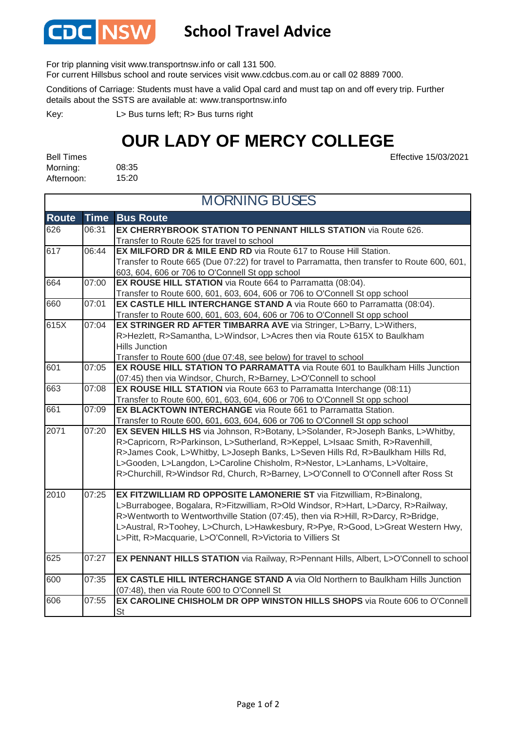

## **School Travel Advice**

For trip planning visit www.transportnsw.info or call 131 500.

For current Hillsbus school and route services visit www.cdcbus.com.au or call 02 8889 7000.

Conditions of Carriage: Students must have a valid Opal card and must tap on and off every trip. Further details about the SSTS are available at: www.transportnsw.info

L> Bus turns left; R> Bus turns right Key:

## **OUR LADY OF MERCY COLLEGE**

Effective 15/03/2021

08:35 15:20 Bell Times Morning: Afternoon:

| <b>MORNING BUSES</b> |             |                                                                                              |
|----------------------|-------------|----------------------------------------------------------------------------------------------|
| <b>Route</b>         | <b>Time</b> | <b>Bus Route</b>                                                                             |
| 626                  | 06:31       | EX CHERRYBROOK STATION TO PENNANT HILLS STATION via Route 626.                               |
|                      |             | Transfer to Route 625 for travel to school                                                   |
| 617                  | 06:44       | <b>EX MILFORD DR &amp; MILE END RD</b> via Route 617 to Rouse Hill Station.                  |
|                      |             | Transfer to Route 665 (Due 07:22) for travel to Parramatta, then transfer to Route 600, 601, |
|                      |             | 603, 604, 606 or 706 to O'Connell St opp school                                              |
| 664                  | 07:00       | <b>EX ROUSE HILL STATION</b> via Route 664 to Parramatta (08:04).                            |
|                      |             | Transfer to Route 600, 601, 603, 604, 606 or 706 to O'Connell St opp school                  |
| 660                  | 07:01       | EX CASTLE HILL INTERCHANGE STAND A via Route 660 to Parramatta (08:04).                      |
|                      |             | Transfer to Route 600, 601, 603, 604, 606 or 706 to O'Connell St opp school                  |
| 615X                 | 07:04       | EX STRINGER RD AFTER TIMBARRA AVE via Stringer, L>Barry, L>Withers,                          |
|                      |             | R>Hezlett, R>Samantha, L>Windsor, L>Acres then via Route 615X to Baulkham                    |
|                      |             | <b>Hills Junction</b>                                                                        |
|                      |             | Transfer to Route 600 (due 07:48, see below) for travel to school                            |
| 601                  | 07:05       | <b>EX ROUSE HILL STATION TO PARRAMATTA</b> via Route 601 to Baulkham Hills Junction          |
|                      |             | (07:45) then via Windsor, Church, R>Barney, L>O'Connell to school                            |
| 663                  | 07:08       | <b>EX ROUSE HILL STATION</b> via Route 663 to Parramatta Interchange (08:11)                 |
|                      |             | Transfer to Route 600, 601, 603, 604, 606 or 706 to O'Connell St opp school                  |
| 661                  | 07:09       | <b>EX BLACKTOWN INTERCHANGE</b> via Route 661 to Parramatta Station.                         |
|                      |             | Transfer to Route 600, 601, 603, 604, 606 or 706 to O'Connell St opp school                  |
| 2071                 | 07:20       | EX SEVEN HILLS HS via Johnson, R>Botany, L>Solander, R>Joseph Banks, L>Whitby,               |
|                      |             | R>Capricorn, R>Parkinson, L>Sutherland, R>Keppel, L>Isaac Smith, R>Ravenhill,                |
|                      |             | R>James Cook, L>Whitby, L>Joseph Banks, L>Seven Hills Rd, R>Baulkham Hills Rd,               |
|                      |             | L>Gooden, L>Langdon, L>Caroline Chisholm, R>Nestor, L>Lanhams, L>Voltaire,                   |
|                      |             | R>Churchill, R>Windsor Rd, Church, R>Barney, L>O'Connell to O'Connell after Ross St          |
| 2010                 | 07:25       | EX FITZWILLIAM RD OPPOSITE LAMONERIE ST via Fitzwilliam, R>Binalong,                         |
|                      |             | L>Burrabogee, Bogalara, R>Fitzwilliam, R>Old Windsor, R>Hart, L>Darcy, R>Railway,            |
|                      |             | R>Wentworth to Wentworthville Station (07:45), then via R>Hill, R>Darcy, R>Bridge,           |
|                      |             | L>Austral, R>Toohey, L>Church, L>Hawkesbury, R>Pye, R>Good, L>Great Western Hwy,             |
|                      |             | L>Pitt, R>Macquarie, L>O'Connell, R>Victoria to Villiers St                                  |
| 625                  | 07:27       | EX PENNANT HILLS STATION via Railway, R>Pennant Hills, Albert, L>O'Connell to school         |
|                      |             |                                                                                              |
| 600                  | 07:35       | EX CASTLE HILL INTERCHANGE STAND A via Old Northern to Baulkham Hills Junction               |
|                      |             | (07:48), then via Route 600 to O'Connell St                                                  |
| 606                  | 07:55       | EX CAROLINE CHISHOLM DR OPP WINSTON HILLS SHOPS via Route 606 to O'Connell                   |
|                      |             | St                                                                                           |